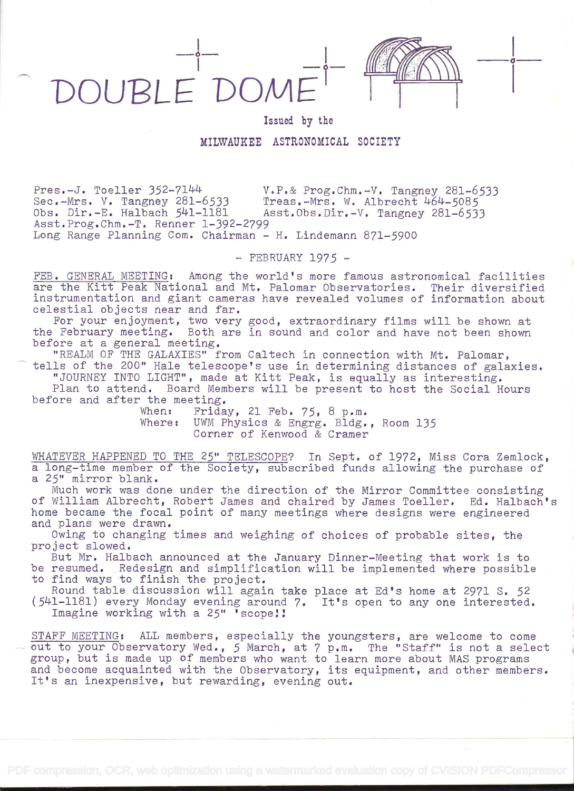

Issued by the

## MILWAUKEE ASTRONOMICAL SOCIETY

Pres.-J. Toeller 352-7144 V.P.& Prog.Chm.-V. Tangney 281-6533<br>Sec.-Mrs. V. Tangney 281-6533 Treas.-Mrs. W. Albrecht 464-5085<br>Obs. Dir.-E. Halbach 541-1181 Asst.Obs.Dir.-V. Tangney 281-6533 Sec.-Mrs. V. Tangney 261-0533 Treas.-Mrs. W. Albrecht 464-5085<br>Obs. Dir.-E. Halbach 541-1181 Asst.Obs.Dir.-V. Tangney 281-6533<br>Asst.Prog.Chm.-T. Renner 1-392-2799 Long Range Planning Com. Chairman - H. Lindemann 871-5900

- FEBRUARY 1975 -

FEB. GENERAL MEETING: Among the world's more famous astronomical facilities are the Kitt Peak National and Mt. Palomar Observatories. Their diversified<br>instrumentation and giant cameras have revealed volumes of information about<br>celestial objects near and far.<br>For your enjoyment, two very good, ex

the February meeting. Both are in sound and color and have not been shown before at a general meeting.

"REALM OF THE GALAXIES" from Caltech in connection with Mt. Palomar,<br>tells of the 200" Hale telescope's use in determining distances of galaxies.<br>"JOURNEY INTO LIGHT", made at Kitt Peak, is equally as interesting.<br>Plan to

Where: UWM Physics & Engrg. Bldg., Room 135 Corner of Kenwood & Cramer

WHATEVER HAPPENED TO THE 25" TELESCOPE? In Sept. of 1972, Miss Cora Zemlock, a long-time member of the Society, subscribed funds allowing the purchase of a 25" mirror blank.<br>Much work was done under the direction of the Mirror Committee consisting

of William Albrecht, Robert James and chaired by James Toeller. Ed. Halbach's home became the focal point of many meetings where designs were engineered and plans were drawn.

Owing to changing times and weighing of choices of probable sites, the project slowed.

But Mr. Halbach announced at the January Dinner-Meeting that work is to<br>be resumed. Redesign and simplification will be implemented where possible

to find ways to finish the project.<br>Round table discussion will again take place at Ed's home at 2971 S. 52<br>(541-1181) every Monday evening around 7. It's open to any one interested. Imagine working with a 25" 'scope!!

STAFF MEETING: ALL members, especially the youngsters, are welcome to come out to your Observatory Wed., 5 March, at 7 p.m. The "Staff" is not a select and become acquainted with the Observatory, its equipment, and other members. It's an inexpensive, but rewarding, evening out.